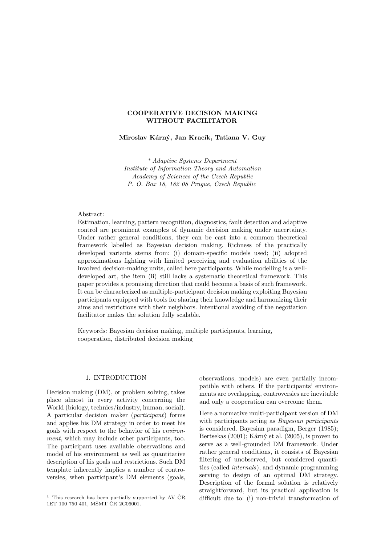# COOPERATIVE DECISION MAKING WITHOUT FACILITATOR

Miroslav Kárný, Jan Kracík, Tatiana V. Guy

<sup>∗</sup> Adaptive Systems Department Institute of Information Theory and Automation Academy of Sciences of the Czech Republic P. O. Box 18, 182 08 Prague, Czech Republic

# Abstract:

Estimation, learning, pattern recognition, diagnostics, fault detection and adaptive control are prominent examples of dynamic decision making under uncertainty. Under rather general conditions, they can be cast into a common theoretical framework labelled as Bayesian decision making. Richness of the practically developed variants stems from: (i) domain-specific models used; (ii) adopted approximations fighting with limited perceiving and evaluation abilities of the involved decision-making units, called here participants. While modelling is a welldeveloped art, the item (ii) still lacks a systematic theoretical framework. This paper provides a promising direction that could become a basis of such framework. It can be characterized as multiple-participant decision making exploiting Bayesian participants equipped with tools for sharing their knowledge and harmonizing their aims and restrictions with their neighbors. Intentional avoiding of the negotiation facilitator makes the solution fully scalable.

Keywords: Bayesian decision making, multiple participants, learning, cooperation, distributed decision making

## 1. INTRODUCTION

Decision making (DM), or problem solving, takes place almost in every activity concerning the World (biology, technics/industry, human, social). A particular decision maker (participant) forms and applies his DM strategy in order to meet his goals with respect to the behavior of his environment, which may include other participants, too. The participant uses available observations and model of his environment as well as quantitative description of his goals and restrictions. Such DM template inherently implies a number of controversies, when participant's DM elements (goals,

observations, models) are even partially incompatible with others. If the participants' environments are overlapping, controversies are inevitable and only a cooperation can overcome them.

Here a normative multi-participant version of DM with participants acting as Bayesian participants is considered. Bayesian paradigm, Berger (1985); Bertsekas  $(2001)$ ; Kárný et al.  $(2005)$ , is proven to serve as a well-grounded DM framework. Under rather general conditions, it consists of Bayesian filtering of unobserved, but considered quantities (called internals), and dynamic programming serving to design of an optimal DM strategy. Description of the formal solution is relatively straightforward, but its practical application is difficult due to: (i) non-trivial transformation of

 $1$  This research has been partially supported by AV ČR 1ET 100 750 401, MŠMT ČR 2C06001.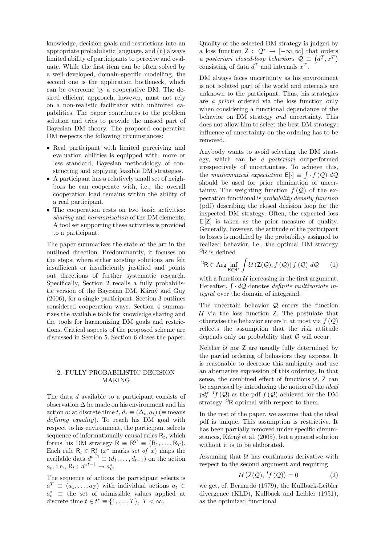knowledge, decision goals and restrictions into an appropriate probabilistic language, and (ii) always limited ability of participants to perceive and evaluate. While the first item can be often solved by a well-developed, domain-specific modelling, the second one is the application bottleneck, which can be overcome by a cooperative DM. The desired efficient approach, however, must not rely on a non-realistic facilitator with unlimited capabilities. The paper contributes to the problem solution and tries to provide the missed part of Bayesian DM theory. The proposed cooperative DM respects the following circumstances:

- Real participant with limited perceiving and evaluation abilities is equipped with, more or less standard, Bayesian methodology of constructing and applying feasible DM strategies.
- A participant has a relatively small set of neighbors he can cooperate with, i.e., the overall cooperation load remains within the ability of a real participant.
- The cooperation rests on two basic activities: sharing and harmonization of the DM elements. A tool set supporting these activities is provided to a participant.

The paper summarizes the state of the art in the outlined direction. Predominantly, it focuses on the steps, where either existing solutions are felt insufficient or insufficiently justified and points out directions of further systematic research. Specifically, Section 2 recalls a fully probabilistic version of the Bayesian DM, Kárný and Guy (2006), for a single participant. Section 3 outlines considered cooperation ways. Section 4 summarizes the available tools for knowledge sharing and the tools for harmonizing DM goals and restrictions. Critical aspects of the proposed scheme are discussed in Section 5. Section 6 closes the paper.

# 2. FULLY PROBABILISTIC DECISION MAKING

The data d available to a participant consists of observation  $\Delta$  he made on his environment and his action a; at discrete time t,  $d_t \equiv (\Delta_t, a_t)$  ( $\equiv$  means defining equality). To reach his DM goal with respect to his environment, the participant selects sequence of informationally causal rules  $R_t$ , which forms his DM strategy  $R \equiv R^T \equiv (R_1, \ldots, R_T)$ . Each rule  $\mathsf{R}_t \in \mathsf{R}_t^*$  ( $x^*$  marks set of x) maps the available data  $d^{t-1} \equiv (d_1, \ldots, d_{t-1})$  on the action  $a_t$ , i.e.,  $R_t: d^{*t-1} \to a_t^*$ .

The sequence of actions the participant selects is  $a^T \equiv (a_1, \ldots, a_T)$  with individual actions  $a_t \in$  $a_t^*$  ≡ the set of admissible values applied at discrete time  $t \in t^* \equiv \{1, \ldots, T\}, T < \infty$ .

Quality of the selected DM strategy is judged by a loss function  $Z: \mathcal{Q}^* \to [-\infty, \infty]$  that orders a loss function  $\mathsf{Z}: \mathcal{Q} \to [-\infty, \infty]$  that order<br>a posteriori closed-loop behaviors  $\mathcal{Q} \equiv (d^T, x^T)$ consisting of data  $d^T$  and internals  $x^T$ .

DM always faces uncertainty as his environment is not isolated part of the world and internals are unknown to the participant. Thus, his strategies are a priori ordered via the loss function only when considering a functional dependance of the behavior on DM strategy and uncertainty. This does not allow him to select the best DM strategy: influence of uncertainty on the ordering has to be removed.

Anybody wants to avoid selecting the DM strategy, which can be a posteriori outperformed irrespectively of uncertainties. To achieve this, R the mathematical expectation  $E[\cdot] \equiv \int f(Q) dQ$ should be used for prior elimination of uncertainty. The weighting function  $f(Q)$  of the expectation functional is probability density function (pdf) describing the closed decision loop for the inspected DM strategy. Often, the expected loss E [Z] is taken as the prior measure of quality. Generally, however, the attitude of the participant to losses is modified by the probability assigned to realized behavior, i.e., the optimal DM strategy  ${}^{O}R$  is defined

$$
{}^{O}\mathsf{R} \in \operatorname{Arg} \inf_{\mathsf{R} \in \mathsf{R}^*} \int \mathcal{U} \left( \mathsf{Z}(\mathcal{Q}), f(\mathcal{Q}) \right) f(\mathcal{Q}) \, d\mathcal{Q} \qquad (1)
$$

with a function  $U$  increasing in the first argument. with a function  $\mu$  increasing in the first argument.<br>Hereafter,  $\int \cdot dQ$  denotes *definite multivariate in*tegral over the domain of integrand.

The uncertain behavior  $Q$  enters the function  $U$  via the loss function Z. The postulate that otherwise the behavior enters it at most via  $f(Q)$ reflects the assumption that the risk attitude depends only on probability that Q will occur.

Neither  $U$  nor  $Z$  are usually fully determined by the partial ordering of behaviors they express. It is reasonable to decrease this ambiguity and use an alternative expression of this ordering. In that sense, the combined effect of functions  $U$ ,  $Z$  can be expressed by introducing the notion of the ideal pdf  $If (Q)$  as the pdf  $f(Q)$  achieved for the DM strategy  $^{\circ}$ R optimal with respect to them.

In the rest of the paper, we assume that the ideal pdf is unique. This assumption is restrictive. It has been partially removed under specific circumstances, Kárný et al.  $(2005)$ , but a general solution without it is to be elaborated.

Assuming that  $U$  has continuous derivative with respect to the second argument and requiring

$$
\mathcal{U}\left(\mathsf{Z}(\mathcal{Q}), \, {}^{I}f\left(\mathcal{Q}\right)\right) = 0\tag{2}
$$

we get, cf. Bernardo (1979), the Kullback-Leibler divergence (KLD), Kullback and Leibler (1951), as the optimized functional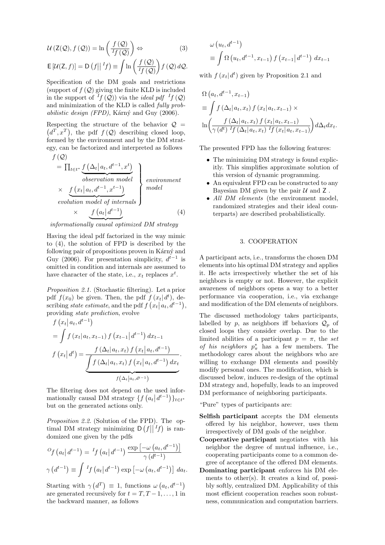$$
U(Z(Q), f(Q)) = \ln\left(\frac{f(Q)}{If(Q)}\right) \Leftrightarrow \qquad (3)
$$

$$
\mathsf{E}\left[\mathcal{U}(\mathsf{Z},f)\right] = \mathsf{D}\left(f\middle|\big|^{I}f\right) \equiv \int \ln\left(\frac{f\left(\mathcal{Q}\right)}{^{I}f\left(\mathcal{Q}\right)}\right)f\left(\mathcal{Q}\right)d\mathcal{Q}.
$$

Specification of the DM goals and restrictions (support of  $f(Q)$  giving the finite KLD is included in the support of  $^{I}f(\mathcal{Q})$  via the *ideal pdf*  $^{I}f(\mathcal{Q})$ and minimization of the KLD is called fully probabilistic design (FPD), Kárný and Guy (2006).

Respecting the structure of the behavior  $\mathcal{Q} =$  $d^T, x^T$ , the pdf  $f(Q)$  describing closed loop, formed by the environment and by the DM strategy, can be factorized and interpreted as follows  $f(\bigcap$ 

$$
= \prod_{t \in t^*} \underbrace{f(\Delta_t | a_t, d^{t-1}, x^t)}_{observation \ model} \times \underbrace{f(x_t | a_t, d^{t-1}, x^{t-1})}_{\{evolution \ model \ of \ internal \}}
$$
 *model*  
 
$$
\times \underbrace{f(a_t | d^{t-1})}_{\{a_t | d^{t-1}\}} \qquad (4)
$$

informationally causal optimized DM strategy

Having the ideal pdf factorized in the way mimic to (4), the solution of FPD is described by the following pair of propositions proven in Kárný and Guy (2006). For presentation simplicity,  $d^{t-1}$  is omitted in condition and internals are assumed to have character of the state, i.e.,  $x_t$  replaces  $x^t$ .

Proposition 2.1. (Stochastic filtering). Let a prior pdf  $f(x_0)$  be given. Then, the pdf  $f(x_t|d^t)$ , describing state estimate, and the pdf  $f(x_t | a_t, d^{t-1}),$ providing *state prediction*, evolve

$$
f(x_t | a_t, d^{t-1})
$$
  
=  $\int f(x_t | a_t, x_{t-1}) f(x_{t-1} | d^{t-1}) dx_{t-1}$   

$$
f(x_t | d^t) = \frac{f(\Delta_t | a_t, x_t) f(x_t | a_t, d^{t-1})}{\int f(\Delta_t | a_t, x_t) f(x_t | a_t, d^{t-1}) dx_t}.
$$

The filtering does not depend on the used informationally causal DM strategy  $\{f(a_t|d^{t-1})\}_{t\in t^*}$ but on the generated actions only.

Proposition 2.2. (Solution of the FPD). The optimal DM strategy minimizing  $D(f||^{T}f)$  is randomized one given by the pdfs

$$
^{C}f\left(a_{t}\left|\,d^{t-1}\right.\right)=\,^{I}f\left(a_{t}\left|\,d^{t-1}\right.\right)\frac{\exp\left[-\omega\left(a_{t},d^{t-1}\right)\right]}{\gamma\left(d^{t-1}\right)}
$$
\n
$$
\gamma\left(d^{t-1}\right)\equiv\int\,^{I}f\left(a_{t}\left|\,d^{t-1}\right.\right)\exp\left[-\omega\left(a_{t},d^{t-1}\right)\right]\,da_{t}.
$$

Starting with  $\gamma$  $d^T$  $\equiv$  1, functions  $\omega$  $(a_t, d^{t-1})$ are generated recursively for  $t = T, T - 1, \ldots, 1$  in the backward manner, as follows

$$
\omega (u_t, d^{t-1})
$$
  
=  $\int \Omega (u_t, d^{t-1}, x_{t-1}) f (x_{t-1} | d^{t-1}) dx_{t-1}$ 

with  $f(x_t|d^t)$  given by Proposition 2.1 and

$$
\Omega\left(a_{t}, d^{t-1}, x_{t-1}\right)
$$
\n
$$
\equiv \int f\left(\Delta_{t}|a_{t}, x_{t}\right) f\left(x_{t}|a_{t}, x_{t-1}\right) \times
$$
\n
$$
\ln\left(\frac{f\left(\Delta_{t}|a_{t}, x_{t}\right) f\left(x_{t}|a_{t}, x_{t-1}\right)}{\gamma\left(d^{t}\right)^{I} f\left(\Delta_{t}|a_{t}, x_{t}\right)^{I} f\left(x_{t}|a_{t}, x_{t-1}\right)}\right) d\Delta_{t} dx_{t}.
$$

The presented FPD has the following features:

- The minimizing DM strategy is found explicitly. This simplifies approximate solution of this version of dynamic programming.
- An equivalent FPD can be constructed to any Bayesian DM given by the pair  $U$  and  $Z$ .
- All DM elements (the environment model, randomized strategies and their ideal counterparts) are described probabilistically.

### 3. COOPERATION

A participant acts, i.e., transforms the chosen DM elements into his optimal DM strategy and applies it. He acts irrespectively whether the set of his neighbors is empty or not. However, the explicit awareness of neighbors opens a way to a better performance via cooperation, i.e., via exchange and modification of the DM elements of neighbors.

The discussed methodology takes participants, labelled by p, as neighbors iff behaviors  $\mathcal{Q}_p$  of closed loops they consider overlap. Due to the limited abilities of a participant  $p = \pi$ , the set of his neighbors  $p^*_{\pi}$  has a few members. The methodology cares about the neighbors who are willing to exchange DM elements and possibly modify personal ones. The modification, which is discussed below, induces re-design of the optimal DM strategy and, hopefully, leads to an improved DM performance of neighboring participants.

"Pure" types of participants are:

- Selfish participant accepts the DM elements offered by his neighbor, however, uses them irrespectively of DM goals of the neighbor.
- Cooperative participant negotiates with his neighbor the degree of mutual influence, i.e., cooperating participants come to a common degree of acceptance of the offered DM elements.
- Dominating participant enforces his DM elements to other(s). It creates a kind of, possibly softly, centralized DM. Applicability of this most efficient cooperation reaches soon robustness, communication and computation barriers.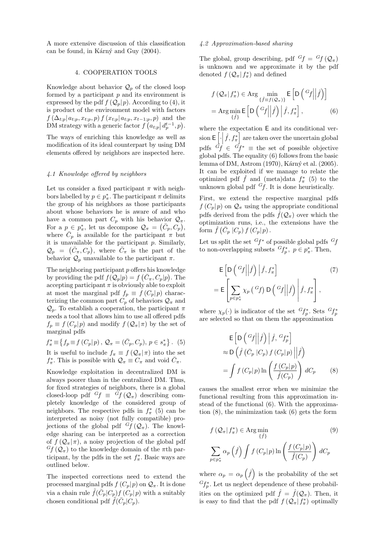A more extensive discussion of this classification can be found, in Kárný and Guy (2004).

#### 4. COOPERATION TOOLS

Knowledge about behavior  $\mathcal{Q}_p$  of the closed loop formed by a participant  $p$  and its environment is expressed by the pdf  $f(Q_p|p)$ . According to (4), it is product of the environment model with factors  $f(\Delta_{t;p} | a_{t;p}, x_{t;p}, p) f(x_{t;p} | a_{t;p}, x_{t-1;p}, p)$  and the  $J(\Delta_{t;p}|a_{t;p}, x_{t;p}, p) J(x_{t;p}|a_{t;p}, x_{t-1;p}, p)$  and the<br>DM strategy with a generic factor  $f(a_{t;p}|d_p^{t-1}, p)$ .

The ways of enriching this knowledge as well as modification of its ideal counterpart by using DM elements offered by neighbors are inspected here.

### 4.1 Knowledge offered by neighbors

Let us consider a fixed participant  $\pi$  with neighbors labelled by  $p \in p^*_\pi$ . The participant  $\pi$  delimits the group of his neighbors as those participants about whose behaviors he is aware of and who have a common part  $C_p$  with his behavior  $\mathcal{Q}_{\pi}$ . For a  $p \in p_{\pi}^*$ , let us decompose  $\mathcal{Q}_{\pi} = (\bar{C}_p, C_p)$ , where  $\overline{C}_p$  is available for the participant  $\pi$  but it is unavailable for the participant p. Similarly,  $\mathcal{Q}_p = (\bar{C}_\pi, C_p)$ , where  $\bar{C}_\pi$  is the part of the behavior  $\mathcal{Q}_p$  unavailable to the participant  $\pi$ .

The neighboring participant p offers his knowledge by providing the pdf  $f(Q_p|p) = f(\bar{C}_{\pi}, C_p|p)$ . The accepting participant  $\pi$  is obviously able to exploit at most the marginal pdf  $f_p \equiv f(C_p|p)$  characterizing the common part  $C_p$  of behaviors  $\mathcal{Q}_{\pi}$  and  $\mathcal{Q}_n$ . To establish a cooperation, the participant  $\pi$ needs a tool that allows him to use all offered pdfs  $f_p \equiv f(C_p|p)$  and modify  $f(Q_\pi|\pi)$  by the set of marginal pdfs

$$
f_{\pi}^* \equiv \{ f_p \equiv f(C_p | p), \mathcal{Q}_{\pi} = (\bar{C}_p, C_p), p \in s_{\pi}^* \}.
$$
 (5)

It is useful to include  $f_{\pi} \equiv f(Q_{\pi}|\pi)$  into the set  $f_{\pi}^*$ . This is possible with  $\mathcal{Q}_{\pi} \equiv C_{\pi}$  and void  $\bar{C}_{\pi}$ .

Knowledge exploitation in decentralized DM is always poorer than in the centralized DM. Thus, for fixed strategies of neighbors, there is a global closed-loop pdf  $G_f \equiv \tilde{G}_f(\mathcal{Q}_\pi)$  describing completely knowledge of the considered group of neighbors. The respective pdfs in  $f_{\pi}^*$  (5) can be interpreted as noisy (not fully compatible) projections of the global pdf  $G_f(Q_\pi)$ . The knowledge sharing can be interpreted as a correction of  $f(Q_\pi|\pi)$ , a noisy projection of the global pdf  $^{G}f(Q_{\pi})$  to the knowledge domain of the  $\pi$ th participant, by the pdfs in the set  $f^*_{\pi}$ . Basic ways are outlined below.

The inspected corrections need to extend the processed marginal pdfs  $f(C_p|p)$  on  $\mathcal{Q}_{\pi}$ . It is done via a chain rule  $\tilde{f}(\bar{C}_p|C_p) f(C_p|p)$  with a suitably chosen conditional pdf  $\tilde{f}(\bar{C}_p|\bar{C}_p)$ .

#### 4.2 Approximation-based sharing

The global, group describing, pdf  $G_f = G_f(Q_\pi)$ is unknown and we approximate it by the pdf denoted  $f\left(\mathcal{Q}_{\pi} | f_{\pi}^*\right)$  and defined

$$
f(Q_{\pi}|f_{\pi}^{*}) \in \text{Arg} \min_{\{ \hat{f} \equiv f(Q_{\pi}) \}} \mathsf{E}\left[D\left(\frac{G_{f}}{f}\middle|\hat{f}\right)\right] = \text{Arg} \min_{\{ \hat{f} \}} \mathsf{E}\left[D\left(\frac{G_{f}}{f}\middle|\hat{f}\right)\middle|\hat{f}, f_{\pi}^{*}\right],
$$
(6)

where the expectation  $E$  and its conditional version  $\mathsf{E}\left[\cdot\middle|\hat{f},f_{\pi}^*\right]$  are taken over the uncertain global pdfs  $G_f \in \mathcal{G}_{f^*}$  = the set of possible objective global pdfs. The equality (6) follows from the basic lemma of DM, Astrom (1970), Kárný et al. (2005). It can be exploited if we manage to relate the optimized pdf  $\hat{f}$  and (meta)data  $f_{\pi}^*$  (5) to the unknown global pdf  $G_f$ . It is done heuristically.

First, we extend the respective marginal pdfs  $f(C_p|p)$  on  $\mathcal{Q}_{\pi}$  using the appropriate conditional pdfs derived from the pdfs  $\hat{f}(\mathcal{Q}_\pi)$  over which the optimization runs, i.e., the extensions have the form  $\hat{f}(\bar{C}_p | C_p) f(C_p | p)$ .

Let us split the set  $G_f^*$  of possible global pdfs  $G_f$ to non-overlapping subsets  ${}^G f_p^*$ ,  $p \in p^*_\pi$ . Then,

$$
\mathsf{E}\left[\mathsf{D}\left(\left.\begin{array}{c} G_f \\ \end{array}\right|\left.\hat{f}\right)\right|\hat{f},f_{\pi}^*\right] \tag{7}
$$
\n
$$
=\mathsf{E}\left[\sum_{p\in p_{\pi}^*}\chi_p\left(\left.\begin{array}{c} G_f \\ \end{array}\right|\mathsf{D}\left(\left.\begin{array}{c} G_f \\ \end{array}\right|\left.\hat{f}\right)\right|\hat{f},f_{\pi}^*\right],
$$

where  $\chi_p(\cdot)$  is indicator of the set  ${}^{G}f^*_p$ . Sets  ${}^{G}f^*_p$ are selected so that on them the approximation

$$
\mathsf{E}\left[\mathsf{D}\left(\left.\begin{array}{c} G_f \middle| \hat{f}\end{array}\right|\left.\hat{f},\right.\right. G_{f_p^*}\right] \\
\approx \mathsf{D}\left(\hat{f}\left(\bar{C}_p \middle| C_p\right)f\left(C_p \middle| p\right)\middle| \hat{f}\right) \\
= \int f\left(C_p \middle| p\right) \ln \left(\frac{f\left(C_p \middle| p\right)}{\hat{f}(C_p)}\right) dC_p\n\end{array} \tag{8}
$$

causes the smallest error when we minimize the functional resulting from this approximation instead of the functional (6). With the approximation (8), the minimization task (6) gets the form

$$
f(Q_{\pi}|f_{\pi}^{*}) \in \operatorname{Arg\,min}_{\{f\}} \tag{9}
$$

$$
\sum_{p \in p_{\pi}^{*}} \alpha_{p}(\hat{f}) \int f(C_{p}|p) \ln \left( \frac{f(C_{p}|p)}{\hat{f}(C_{p})} \right) dC_{p}
$$

where  $\alpha_p = \alpha_p$  $\hat{f}$ is the probability of the set  ${}^{G}f_{p}^{*}$ . Let us neglect dependence of these probabilities on the optimized pdf  $\hat{f} = \hat{f}(\mathcal{Q}_\pi)$ . Then, it is easy to find that the pdf  $f(Q_{\pi}|f_{\pi}^*)$  optimally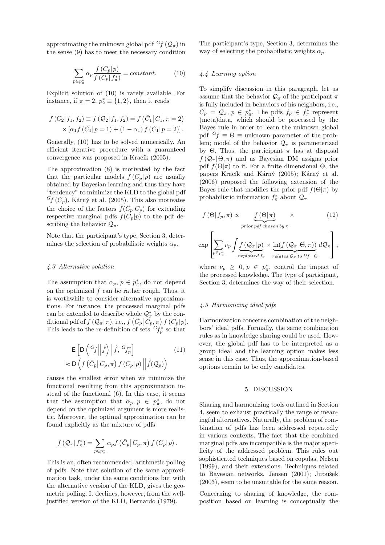approximating the unknown global pdf  $<sup>G</sup>f$  ( $Q_\pi$ ) in</sup> the sense (9) has to meet the necessary condition

$$
\sum_{p \in p_{\pi}^*} \alpha_p \frac{f(C_p|p)}{f(C_p|f_{\pi}^*)} = constant.
$$
 (10)

Explicit solution of (10) is rarely available. For instance, if  $\pi = 2$ ,  $p_2^* \equiv \{1, 2\}$ , then it reads

$$
f(C_2|f_1, f_2) \equiv f(Q_2|f_1, f_2) = f(\bar{C}_1|C_1, \pi = 2)
$$
  
 
$$
\times [\alpha_1 f(C_1|p=1) + (1-\alpha_1) f(C_1|p=2)].
$$

Generally, (10) has to be solved numerically. An efficient iterative procedure with a guaranteed convergence was proposed in Kracík (2005).

The approximation (8) is motivated by the fact that the particular models  $f(C_p|p)$  are usually obtained by Bayesian learning and thus they have "tendency" to minimize the KLD to the global pdf  $<sup>G</sup>f(C_p)$ , Kárný et al. (2005). This also motivates</sup> the choice of the factors  $\hat{f}(\bar{C}_p|C_p)$  for extending respective marginal pdfs  $f(\overline{C_p}|p)$  to the pdf describing the behavior  $\mathcal{Q}_{\pi}$ .

Note that the participant's type, Section 3, determines the selection of probabilistic weights  $\alpha_p$ .

### 4.3 Alternative solution

The assumption that  $\alpha_p, p \in p^*_{\pi}$ , do not depend on the optimized  $\hat{f}$  can be rather rough. Thus, it is worthwhile to consider alternative approximations. For instance, the processed marginal pdfs can be extended to describe whole  $\mathcal{Q}^*_{\pi}$  by the concan be extended to describe whole  $\mathcal{Q}_{\pi}$  by the conditional pdf of  $f(\mathcal{Q}_{\pi}|\pi)$ , i.e.,  $f(\bar{C}_p|\bar{C}_p,\pi) f(\bar{C}_p|p)$ . This leads to the re-definition of sets  $G_{f_p}^*$  so that

$$
\mathsf{E}\left[\mathsf{D}\left(\left.\begin{array}{c} G_f \\ \end{array}\right|\middle|\hat{f}\right)\left|\hat{f},\left.\begin{array}{c} G_{f_p^*} \\ \end{array}\right|\right] \approx \mathsf{D}\left(f\left(\bar{C}_p\middle|C_p,\pi\right)f\left(C_p\middle|p\right)\right|\left|\hat{f}(\mathcal{Q}_p)\right)\right]
$$
\n(11)

causes the smallest error when we minimize the functional resulting from this approximation instead of the functional (6). In this case, it seems that the assumption that  $\alpha_p, p \in p^*_{\pi}$ , do not depend on the optimized argument is more realistic. Moreover, the optimal approximation can be found explicitly as the mixture of pdfs

$$
f(Q_{\pi}|f_{\pi}^*) = \sum_{p \in p_{\pi}^*} \alpha_p f(\bar{C}_p|C_p, \pi) f(C_p|p).
$$

This is an, often recommended, arithmetic polling of pdfs. Note that solution of the same approximation task, under the same conditions but with the alternative version of the KLD, gives the geometric polling. It declines, however, from the welljustified version of the KLD, Bernardo (1979).

The participant's type, Section 3, determines the way of selecting the probabilistic weights  $\alpha_p$ .

### 4.4 Learning option

To simplify discussion in this paragraph, let us assume that the behavior  $\mathcal{Q}_{\pi}$  of the participant  $\pi$ is fully included in behaviors of his neighbors, i.e.,  $C_p = \mathcal{Q}_{\pi}, p \in p_{\pi}^*$ . The pdfs  $f_p \in f_{\pi}^*$  represent (meta)data, which should be processed by the Bayes rule in order to learn the unknown global pdf  $G_f \equiv \Theta \equiv$  unknown parameter of the problem; model of the behavior  $\mathcal{Q}_{\pi}$  is parameterized by Θ. Thus, the participant π has at disposal  $f(Q_{\pi}|\Theta,\pi)$  and as Bayesian DM assigns prior pdf  $f(\Theta|\pi)$  to it. For a finite dimensional  $\Theta$ , the papers Kracík and Kárný (2005); Kárný et al. (2006) proposed the following extension of the Bayes rule that modifies the prior pdf  $f(\Theta|\pi)$  by probabilistic information  $f_{\pi}^*$  about  $\mathcal{Q}_{\pi}$ 

$$
f(\Theta|f_p, \pi) \propto \underbrace{f(\Theta|\pi)}_{prior\ pdf\ chosen\ by\ \pi} \times \tag{12}
$$

$$
\exp\left[\sum_{p\in p_{\pi}^{*}}\nu_{p}\int\limits_{\substack{f\in\mathcal{Q}_{\pi}|p\\exploited\ f_{p}}}\frac{\ln(f(\mathcal{Q}_{\pi}|\Theta,\pi))}{relates\ \mathcal{Q}_{\pi} to\ ^{G}f=\Theta}\right],
$$

where  $\nu_p \geq 0, p \in p^*_\pi$ , control the impact of the processed knowledge. The type of participant, Section 3, determines the way of their selection.

# 4.5 Harmonizing ideal pdfs

Harmonization concerns combination of the neighbors' ideal pdfs. Formally, the same combination rules as in knowledge sharing could be used. However, the global pdf has to be interpreted as a group ideal and the learning option makes less sense in this case. Thus, the approximation-based options remain to be only candidates.

#### 5. DISCUSSION

Sharing and harmonizing tools outlined in Section 4, seem to exhaust practically the range of meaningful alternatives. Naturally, the problem of combination of pdfs has been addressed repeatedly in various contexts. The fact that the combined marginal pdfs are incompatible is the major specificity of the addressed problem. This rules out sophisticated techniques based on copulas, Nelsen (1999), and their extensions. Techniques related to Bayesian networks, Jensen (2001); Jiroušek (2003), seem to be unsuitable for the same reason.

Concerning to sharing of knowledge, the composition based on learning is conceptually the